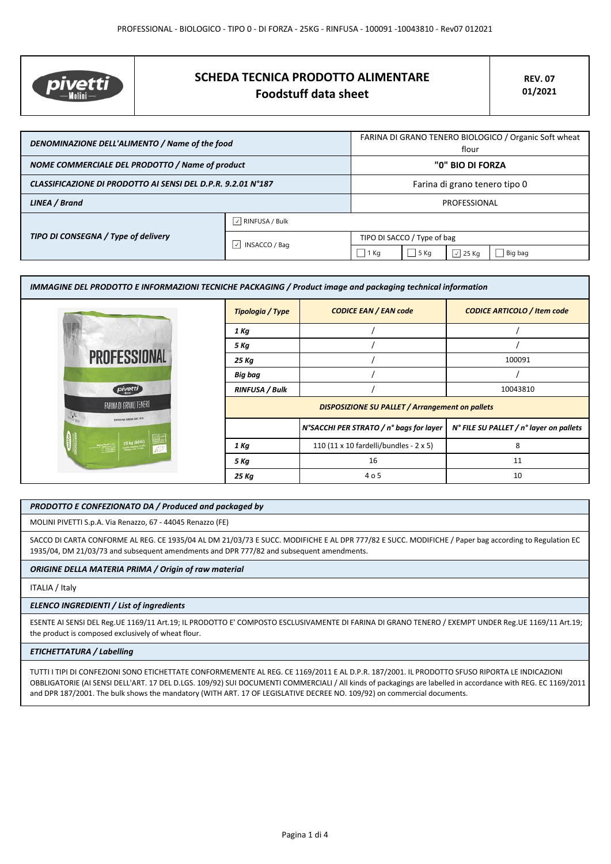

# **SCHEDA TECNICA PRODOTTO ALIMENTARE Foodstuff data sheet**

| DENOMINAZIONE DELL'ALIMENTO / Name of the food               |                                     | FARINA DI GRANO TENERO BIOLOGICO / Organic Soft wheat<br>flour |        |                  |         |
|--------------------------------------------------------------|-------------------------------------|----------------------------------------------------------------|--------|------------------|---------|
| NOME COMMERCIALE DEL PRODOTTO / Name of product              |                                     | "0" BIO DI FORZA                                               |        |                  |         |
| CLASSIFICAZIONE DI PRODOTTO AI SENSI DEL D.P.R. 9.2.01 N°187 |                                     | Farina di grano tenero tipo 0                                  |        |                  |         |
| LINEA / Brand                                                |                                     | PROFESSIONAL                                                   |        |                  |         |
| TIPO DI CONSEGNA / Type of delivery                          | $\sqrt{\phantom{a}}$ RINFUSA / Bulk |                                                                |        |                  |         |
|                                                              | ∣√<br><b>INSACCO / Bag</b>          | TIPO DI SACCO / Type of bag                                    |        |                  |         |
|                                                              |                                     | $1$ Kg                                                         | $5$ Kg | $\sqrt{2}$ 25 Kg | Big bag |

| IMMAGINE DEL PRODOTTO E INFORMAZIONI TECNICHE PACKAGING / Product image and packaging technical information |                       |                                                        |                                         |  |  |
|-------------------------------------------------------------------------------------------------------------|-----------------------|--------------------------------------------------------|-----------------------------------------|--|--|
|                                                                                                             | Tipologia / Type      | <b>CODICE EAN / EAN code</b>                           | <b>CODICE ARTICOLO / Item code</b>      |  |  |
|                                                                                                             | 1 Kg                  |                                                        |                                         |  |  |
|                                                                                                             | 5 Kg                  |                                                        |                                         |  |  |
| <b>PROFESSIONAL</b>                                                                                         | 25 Kg                 |                                                        | 100091                                  |  |  |
|                                                                                                             | <b>Big bag</b>        |                                                        |                                         |  |  |
| pivetti                                                                                                     | <b>RINFUSA / Bulk</b> |                                                        | 10043810                                |  |  |
| FARINA DI GRANO TENERO<br>$\frac{1}{2}$<br>SAPER FAR FARINA DAL 1875                                        |                       | <b>DISPOSIZIONE SU PALLET / Arrangement on pallets</b> |                                         |  |  |
|                                                                                                             |                       | N°SACCHI PER STRATO / n° bags for layer                | N° FILE SU PALLET / n° layer on pallets |  |  |
| 25 kg (55lb)                                                                                                | 1 Kg                  | 110 (11 x 10 fardelli/bundles - 2 x 5)                 | 8                                       |  |  |
|                                                                                                             | 5 Kg                  | 16                                                     | 11                                      |  |  |
|                                                                                                             | 25 Kg                 | 4 o 5                                                  | 10                                      |  |  |

## *PRODOTTO E CONFEZIONATO DA / Produced and packaged by*

MOLINI PIVETTI S.p.A. Via Renazzo, 67 - 44045 Renazzo (FE)

SACCO DI CARTA CONFORME AL REG. CE 1935/04 AL DM 21/03/73 E SUCC. MODIFICHE E AL DPR 777/82 E SUCC. MODIFICHE / Paper bag according to Regulation EC 1935/04, DM 21/03/73 and subsequent amendments and DPR 777/82 and subsequent amendments.

*ORIGINE DELLA MATERIA PRIMA / Origin of raw material*

ITALIA / Italy

# *ELENCO INGREDIENTI / List of ingredients*

ESENTE AI SENSI DEL Reg.UE 1169/11 Art.19; IL PRODOTTO E' COMPOSTO ESCLUSIVAMENTE DI FARINA DI GRANO TENERO / EXEMPT UNDER Reg.UE 1169/11 Art.19; the product is composed exclusively of wheat flour.

#### *ETICHETTATURA / Labelling*

TUTTI I TIPI DI CONFEZIONI SONO ETICHETTATE CONFORMEMENTE AL REG. CE 1169/2011 E AL D.P.R. 187/2001. IL PRODOTTO SFUSO RIPORTA LE INDICAZIONI OBBLIGATORIE (AI SENSI DELL'ART. 17 DEL D.LGS. 109/92) SUI DOCUMENTI COMMERCIALI / All kinds of packagings are labelled in accordance with REG. EC 1169/2011 and DPR 187/2001. The bulk shows the mandatory (WITH ART. 17 OF LEGISLATIVE DECREE NO. 109/92) on commercial documents.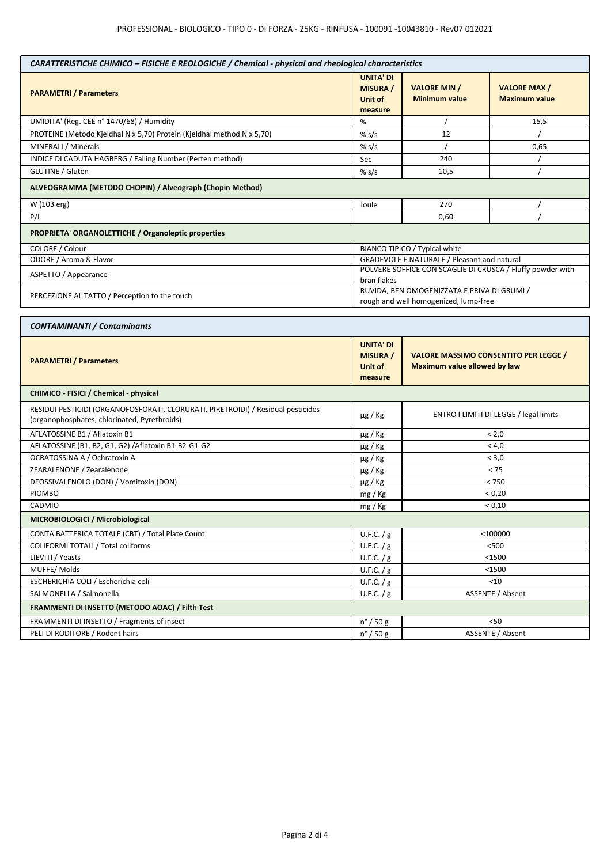| CARATTERISTICHE CHIMICO - FISICHE E REOLOGICHE / Chemical - physical and rheological characteristics                             |                                                           |                                                                              |                                                            |  |
|----------------------------------------------------------------------------------------------------------------------------------|-----------------------------------------------------------|------------------------------------------------------------------------------|------------------------------------------------------------|--|
| <b>PARAMETRI / Parameters</b>                                                                                                    | <b>UNITA' DI</b><br><b>MISURA /</b><br>Unit of<br>measure | <b>VALORE MIN /</b><br><b>Minimum value</b>                                  | <b>VALORE MAX/</b><br><b>Maximum value</b>                 |  |
| UMIDITA' (Reg. CEE n° 1470/68) / Humidity                                                                                        | %                                                         |                                                                              | 15,5                                                       |  |
| PROTEINE (Metodo Kjeldhal N x 5,70) Protein (Kjeldhal method N x 5,70)                                                           | % $s/s$                                                   | 12                                                                           |                                                            |  |
| MINERALI / Minerals                                                                                                              | % s/s                                                     |                                                                              | 0,65                                                       |  |
| INDICE DI CADUTA HAGBERG / Falling Number (Perten method)                                                                        | Sec                                                       | 240                                                                          |                                                            |  |
| <b>GLUTINE / Gluten</b>                                                                                                          | % $s/s$                                                   | 10,5                                                                         |                                                            |  |
| ALVEOGRAMMA (METODO CHOPIN) / Alveograph (Chopin Method)                                                                         |                                                           |                                                                              |                                                            |  |
| W (103 erg)                                                                                                                      | Joule                                                     | 270                                                                          |                                                            |  |
| P/L                                                                                                                              |                                                           | 0,60                                                                         |                                                            |  |
| PROPRIETA' ORGANOLETTICHE / Organoleptic properties                                                                              |                                                           |                                                                              |                                                            |  |
| COLORE / Colour                                                                                                                  |                                                           | BIANCO TIPICO / Typical white                                                |                                                            |  |
| ODORE / Aroma & Flavor                                                                                                           |                                                           | GRADEVOLE E NATURALE / Pleasant and natural                                  |                                                            |  |
| ASPETTO / Appearance                                                                                                             |                                                           |                                                                              | POLVERE SOFFICE CON SCAGLIE DI CRUSCA / Fluffy powder with |  |
|                                                                                                                                  | bran flakes                                               | RUVIDA, BEN OMOGENIZZATA E PRIVA DI GRUMI /                                  |                                                            |  |
| PERCEZIONE AL TATTO / Perception to the touch                                                                                    | rough and well homogenized, lump-free                     |                                                                              |                                                            |  |
|                                                                                                                                  |                                                           |                                                                              |                                                            |  |
| <b>CONTAMINANTI / Contaminants</b>                                                                                               |                                                           |                                                                              |                                                            |  |
| <b>PARAMETRI / Parameters</b>                                                                                                    | <b>UNITA' DI</b><br><b>MISURA</b> /<br>Unit of<br>measure | <b>VALORE MASSIMO CONSENTITO PER LEGGE /</b><br>Maximum value allowed by law |                                                            |  |
| CHIMICO - FISICI / Chemical - physical                                                                                           |                                                           |                                                                              |                                                            |  |
| RESIDUI PESTICIDI (ORGANOFOSFORATI, CLORURATI, PIRETROIDI) / Residual pesticides<br>(organophosphates, chlorinated, Pyrethroids) | $\mu$ g / Kg                                              | ENTRO I LIMITI DI LEGGE / legal limits                                       |                                                            |  |
| AFLATOSSINE B1 / Aflatoxin B1                                                                                                    | $\mu$ g / Kg                                              | < 2.0                                                                        |                                                            |  |
| AFLATOSSINE (B1, B2, G1, G2) / Aflatoxin B1-B2-G1-G2                                                                             | $\mu$ g / Kg                                              | < 4,0                                                                        |                                                            |  |
| OCRATOSSINA A / Ochratoxin A                                                                                                     | $\mu$ g / Kg                                              | < 3,0                                                                        |                                                            |  |
| ZEARALENONE / Zearalenone                                                                                                        | $\mu$ g / Kg                                              | < 75                                                                         |                                                            |  |
| DEOSSIVALENOLO (DON) / Vomitoxin (DON)                                                                                           | $\mu$ g / Kg                                              | < 750                                                                        |                                                            |  |
| <b>PIOMBO</b>                                                                                                                    | mg / Kg                                                   | < 0,20                                                                       |                                                            |  |
| CADMIO                                                                                                                           | mg / Kg                                                   | < 0,10                                                                       |                                                            |  |
| MICROBIOLOGICI / Microbiological                                                                                                 |                                                           |                                                                              |                                                            |  |
| CONTA BATTERICA TOTALE (CBT) / Total Plate Count                                                                                 | U.F.C. / g                                                | $<$ 100000                                                                   |                                                            |  |
| COLIFORMI TOTALI / Total coliforms                                                                                               | U.F.C. / g                                                | < 500                                                                        |                                                            |  |
| LIEVITI / Yeasts                                                                                                                 | U.F.C. / g                                                | $1500$                                                                       |                                                            |  |
| MUFFE/Molds                                                                                                                      | U.F.C. / g                                                | $1500$                                                                       |                                                            |  |
| ESCHERICHIA COLI / Escherichia coli                                                                                              | U.F.C. / g                                                | $<$ 10                                                                       |                                                            |  |
| SALMONELLA / Salmonella                                                                                                          | U.F.C. $/g$                                               | ASSENTE / Absent                                                             |                                                            |  |
| FRAMMENTI DI INSETTO (METODO AOAC) / Filth Test                                                                                  |                                                           |                                                                              |                                                            |  |
| FRAMMENTI DI INSETTO / Fragments of insect                                                                                       | $n^{\circ}$ / 50 g                                        | $50$                                                                         |                                                            |  |
| PELI DI RODITORE / Rodent hairs                                                                                                  | $n^{\circ}$ / 50 g                                        | ASSENTE / Absent                                                             |                                                            |  |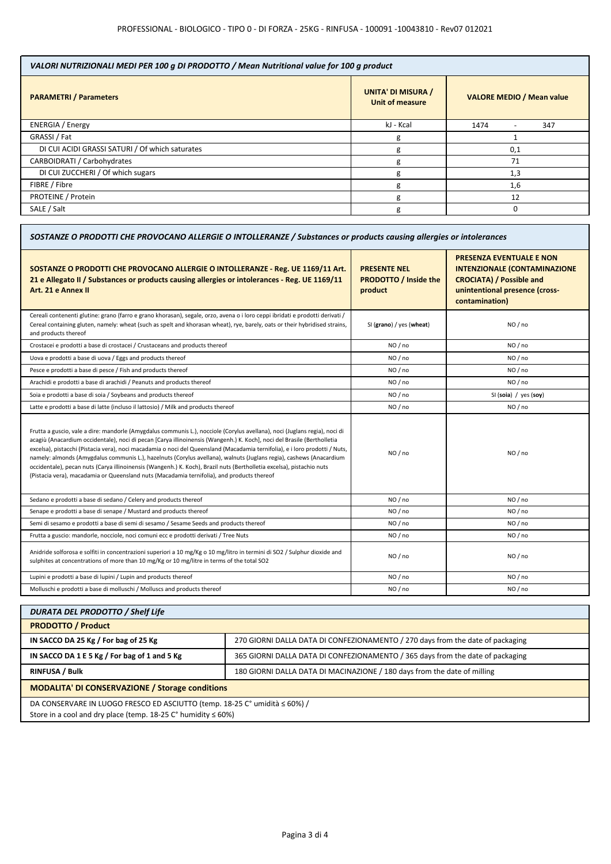| VALORI NUTRIZIONALI MEDI PER 100 g DI PRODOTTO / Mean Nutritional value for 100 g product |                                                     |                                         |  |
|-------------------------------------------------------------------------------------------|-----------------------------------------------------|-----------------------------------------|--|
| <b>PARAMETRI / Parameters</b>                                                             | <b>UNITA' DI MISURA /</b><br><b>Unit of measure</b> | <b>VALORE MEDIO / Mean value</b>        |  |
| <b>ENERGIA</b> / Energy                                                                   | kJ - Kcal                                           | 1474<br>347<br>$\overline{\phantom{0}}$ |  |
| GRASSI / Fat                                                                              | g                                                   |                                         |  |
| DI CUI ACIDI GRASSI SATURI / Of which saturates                                           | g                                                   | 0,1                                     |  |
| CARBOIDRATI / Carbohydrates                                                               |                                                     | 71                                      |  |
| DI CUI ZUCCHERI / Of which sugars                                                         |                                                     | 1,3                                     |  |
| FIBRE / Fibre                                                                             | g                                                   | 1,6                                     |  |
| <b>PROTEINE / Protein</b>                                                                 | g                                                   | 12                                      |  |
| SALE / Salt                                                                               | g                                                   | ŋ                                       |  |

| SOSTANZE O PRODOTTI CHE PROVOCANO ALLERGIE O INTOLLERANZE / Substances or products causing allergies or intolerances                                                                                                                                                                                                                                                                                                                                                                                                                                                                                                                                                                                                               |                                                                |                                                                                                                                                               |  |
|------------------------------------------------------------------------------------------------------------------------------------------------------------------------------------------------------------------------------------------------------------------------------------------------------------------------------------------------------------------------------------------------------------------------------------------------------------------------------------------------------------------------------------------------------------------------------------------------------------------------------------------------------------------------------------------------------------------------------------|----------------------------------------------------------------|---------------------------------------------------------------------------------------------------------------------------------------------------------------|--|
| SOSTANZE O PRODOTTI CHE PROVOCANO ALLERGIE O INTOLLERANZE - Reg. UE 1169/11 Art.<br>21 e Allegato II / Substances or products causing allergies or intolerances - Reg. UE 1169/11<br>Art. 21 e Annex II                                                                                                                                                                                                                                                                                                                                                                                                                                                                                                                            | <b>PRESENTE NEL</b><br><b>PRODOTTO / Inside the</b><br>product | <b>PRESENZA EVENTUALE E NON</b><br><b>INTENZIONALE (CONTAMINAZIONE</b><br><b>CROCIATA) / Possible and</b><br>unintentional presence (cross-<br>contamination) |  |
| Cereali contenenti glutine: grano (farro e grano khorasan), segale, orzo, avena o i loro ceppi ibridati e prodotti derivati /<br>Cereal containing gluten, namely: wheat (such as spelt and khorasan wheat), rye, barely, oats or their hybridised strains,<br>and products thereof                                                                                                                                                                                                                                                                                                                                                                                                                                                | SI (grano) / yes (wheat)                                       | NO/no                                                                                                                                                         |  |
| Crostacei e prodotti a base di crostacei / Crustaceans and products thereof                                                                                                                                                                                                                                                                                                                                                                                                                                                                                                                                                                                                                                                        | NO / no                                                        | NO / no                                                                                                                                                       |  |
| Uova e prodotti a base di uova / Eggs and products thereof                                                                                                                                                                                                                                                                                                                                                                                                                                                                                                                                                                                                                                                                         | NO / no                                                        | NO / no                                                                                                                                                       |  |
| Pesce e prodotti a base di pesce / Fish and products thereof                                                                                                                                                                                                                                                                                                                                                                                                                                                                                                                                                                                                                                                                       | NO / no                                                        | NO / no                                                                                                                                                       |  |
| Arachidi e prodotti a base di arachidi / Peanuts and products thereof                                                                                                                                                                                                                                                                                                                                                                                                                                                                                                                                                                                                                                                              | NO / no                                                        | NO / no                                                                                                                                                       |  |
| Soia e prodotti a base di soia / Soybeans and products thereof                                                                                                                                                                                                                                                                                                                                                                                                                                                                                                                                                                                                                                                                     | NO / no                                                        | SI (soia) / yes (soy)                                                                                                                                         |  |
| Latte e prodotti a base di latte (incluso il lattosio) / Milk and products thereof                                                                                                                                                                                                                                                                                                                                                                                                                                                                                                                                                                                                                                                 | NO / no                                                        | NO / no                                                                                                                                                       |  |
| Frutta a guscio, vale a dire: mandorle (Amygdalus communis L.), nocciole (Corylus avellana), noci (Juglans regia), noci di<br>acagiù (Anacardium occidentale), noci di pecan [Carya illinoinensis (Wangenh.) K. Koch], noci del Brasile (Bertholletia<br>excelsa), pistacchi (Pistacia vera), noci macadamia o noci del Queensland (Macadamia ternifolia), e i loro prodotti / Nuts,<br>namely: almonds (Amygdalus communis L.), hazelnuts (Corylus avellana), walnuts (Juglans regia), cashews (Anacardium<br>occidentale), pecan nuts (Carya illinoinensis (Wangenh.) K. Koch), Brazil nuts (Bertholletia excelsa), pistachio nuts<br>(Pistacia vera), macadamia or Queensland nuts (Macadamia ternifolia), and products thereof | NO / no                                                        | NO / no                                                                                                                                                       |  |
| Sedano e prodotti a base di sedano / Celery and products thereof                                                                                                                                                                                                                                                                                                                                                                                                                                                                                                                                                                                                                                                                   | NO / no                                                        | NO / no                                                                                                                                                       |  |
| Senape e prodotti a base di senape / Mustard and products thereof                                                                                                                                                                                                                                                                                                                                                                                                                                                                                                                                                                                                                                                                  | NO / no                                                        | NO / no                                                                                                                                                       |  |
| Semi di sesamo e prodotti a base di semi di sesamo / Sesame Seeds and products thereof                                                                                                                                                                                                                                                                                                                                                                                                                                                                                                                                                                                                                                             | NO / no                                                        | NO / no                                                                                                                                                       |  |
| Frutta a guscio: mandorle, nocciole, noci comuni ecc e prodotti derivati / Tree Nuts                                                                                                                                                                                                                                                                                                                                                                                                                                                                                                                                                                                                                                               | NO / no                                                        | NO / no                                                                                                                                                       |  |
| Anidride solforosa e solfiti in concentrazioni superiori a 10 mg/Kg o 10 mg/litro in termini di SO2 / Sulphur dioxide and<br>sulphites at concentrations of more than 10 mg/Kg or 10 mg/litre in terms of the total SO2                                                                                                                                                                                                                                                                                                                                                                                                                                                                                                            | NO / no                                                        | NO / no                                                                                                                                                       |  |
| Lupini e prodotti a base di lupini / Lupin and products thereof                                                                                                                                                                                                                                                                                                                                                                                                                                                                                                                                                                                                                                                                    | NO / no                                                        | NO / no                                                                                                                                                       |  |
| Molluschi e prodotti a base di molluschi / Molluscs and products thereof                                                                                                                                                                                                                                                                                                                                                                                                                                                                                                                                                                                                                                                           | NO / no                                                        | NO / no                                                                                                                                                       |  |

| <b>DURATA DEL PRODOTTO / Shelf Life</b>                                                                                                              |                                                                                |  |
|------------------------------------------------------------------------------------------------------------------------------------------------------|--------------------------------------------------------------------------------|--|
| <b>PRODOTTO / Product</b>                                                                                                                            |                                                                                |  |
| IN SACCO DA 25 Kg / For bag of 25 Kg                                                                                                                 | 270 GIORNI DALLA DATA DI CONFEZIONAMENTO / 270 days from the date of packaging |  |
| IN SACCO DA 1 E 5 Kg / For bag of 1 and 5 Kg                                                                                                         | 365 GIORNI DALLA DATA DI CONFEZIONAMENTO / 365 days from the date of packaging |  |
| <b>RINFUSA / Bulk</b>                                                                                                                                | 180 GIORNI DALLA DATA DI MACINAZIONE / 180 days from the date of milling       |  |
| <b>MODALITA' DI CONSERVAZIONE / Storage conditions</b>                                                                                               |                                                                                |  |
| DA CONSERVARE IN LUOGO FRESCO ED ASCIUTTO (temp. 18-25 C° umidità ≤ 60%) /<br>Store in a cool and dry place (temp. $18-25$ C° humidity $\leq 60\%$ ) |                                                                                |  |